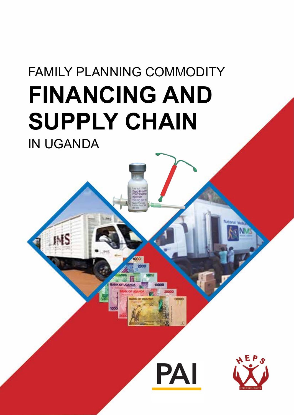# FAMILY PLANNING COMMODITY **FINANCING AND SUPPLY CHAIN** IN UGANDA

INS



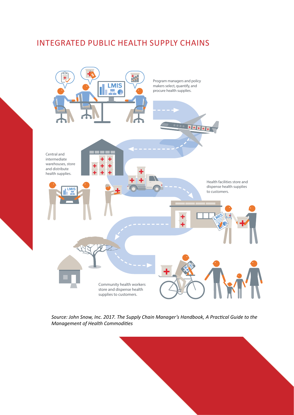### Integrated public health supply chains



*Source: John Snow, Inc. 2017. The Supply Chain Manager's Handbook, A Practical Guide to the Management of Health Commodities*

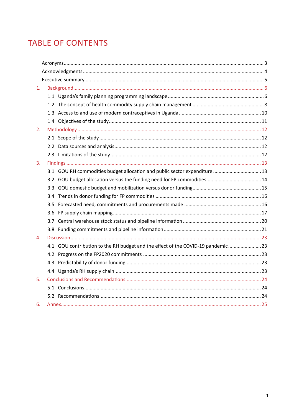# **TABLE OF CONTENTS**

| 1. |                                                                                  |  |
|----|----------------------------------------------------------------------------------|--|
|    |                                                                                  |  |
|    |                                                                                  |  |
|    |                                                                                  |  |
|    |                                                                                  |  |
| 2. |                                                                                  |  |
|    |                                                                                  |  |
|    |                                                                                  |  |
|    |                                                                                  |  |
| 3. |                                                                                  |  |
|    | 3.1 GOU RH commodities budget allocation and public sector expenditure  13       |  |
|    |                                                                                  |  |
|    |                                                                                  |  |
|    |                                                                                  |  |
|    |                                                                                  |  |
|    |                                                                                  |  |
|    |                                                                                  |  |
|    |                                                                                  |  |
| 4. |                                                                                  |  |
|    | 4.1 GOU contribution to the RH budget and the effect of the COVID-19 pandemic 23 |  |
|    |                                                                                  |  |
|    |                                                                                  |  |
|    |                                                                                  |  |
| 5. |                                                                                  |  |
|    |                                                                                  |  |
|    |                                                                                  |  |
| 6. |                                                                                  |  |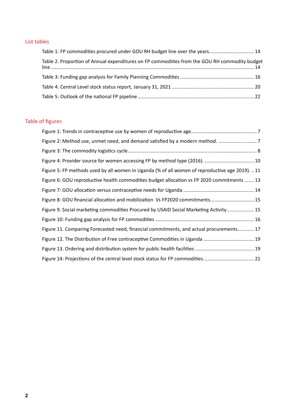### List tables

| Table 1: FP commodities procured under GOU RH budget line over the years 14                   |  |
|-----------------------------------------------------------------------------------------------|--|
| Table 2. Proportion of Annual expenditures on FP commodities from the GOU RH commodity budget |  |
|                                                                                               |  |
|                                                                                               |  |
|                                                                                               |  |

### Table of figures

| Figure 4: Provider source for women accessing FP by method type (2016).  10                     |  |
|-------------------------------------------------------------------------------------------------|--|
| Figure 5: FP methods used by all women in Uganda (% of all women of reproductive age 2019).  11 |  |
| Figure 6: GOU reproductive health commodities budget allocation vs FP 2020 commitments  13      |  |
|                                                                                                 |  |
| Figure 8: GOU financial allocation and mobilization Vs FP2020 commitments 15                    |  |
| Figure 9. Social marketing commodities Procured by USAID Social Marketing Activity 15           |  |
|                                                                                                 |  |
| Figure 11. Comparing Forecasted need, financial commitments, and actual procurements 17         |  |
| Figure 12. The Distribution of Free contraceptive Commodities in Uganda  19                     |  |
|                                                                                                 |  |
|                                                                                                 |  |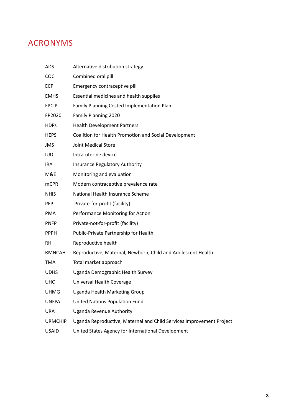# Acronyms

| <b>ADS</b>     | Alternative distribution strategy                                    |
|----------------|----------------------------------------------------------------------|
| <b>COC</b>     | Combined oral pill                                                   |
| <b>ECP</b>     | Emergency contraceptive pill                                         |
| <b>EMHS</b>    | Essential medicines and health supplies                              |
| <b>FPCIP</b>   | Family Planning Costed Implementation Plan                           |
| FP2020         | Family Planning 2020                                                 |
| <b>HDPs</b>    | <b>Health Development Partners</b>                                   |
| <b>HEPS</b>    | Coalition for Health Promotion and Social Development                |
| <b>JMS</b>     | Joint Medical Store                                                  |
| <b>IUD</b>     | Intra-uterine device                                                 |
| <b>IRA</b>     | <b>Insurance Regulatory Authority</b>                                |
| M&E            | Monitoring and evaluation                                            |
| <b>mCPR</b>    | Modern contraceptive prevalence rate                                 |
| <b>NHIS</b>    | National Health Insurance Scheme                                     |
| <b>PFP</b>     | Private-for-profit (facility)                                        |
| PMA            | Performance Monitoring for Action                                    |
| <b>PNFP</b>    | Private-not-for-profit (facility)                                    |
| <b>PPPH</b>    | Public-Private Partnership for Health                                |
| <b>RH</b>      | Reproductive health                                                  |
| <b>RMNCAH</b>  | Reproductive, Maternal, Newborn, Child and Adolescent Health         |
| <b>TMA</b>     | Total market approach                                                |
| <b>UDHS</b>    | Uganda Demographic Health Survey                                     |
| UHC            | Universal Health Coverage                                            |
| UHMG           | Uganda Health Marketing Group                                        |
| <b>UNFPA</b>   | <b>United Nations Population Fund</b>                                |
| <b>URA</b>     | Uganda Revenue Authority                                             |
| <b>URMCHIP</b> | Uganda Reproductive, Maternal and Child Services Improvement Project |
| <b>USAID</b>   | United States Agency for International Development                   |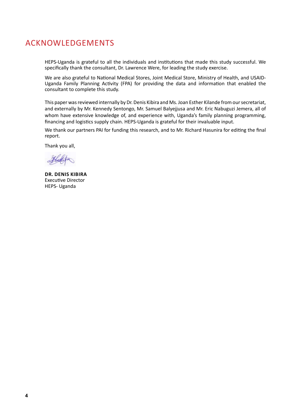### AcknowledgEments

HEPS-Uganda is grateful to all the individuals and institutions that made this study successful. We specifically thank the consultant, Dr. Lawrence Were, for leading the study exercise.

We are also grateful to National Medical Stores, Joint Medical Store, Ministry of Health, and USAID-Uganda Family Planning Activity (FPA) for providing the data and information that enabled the consultant to complete this study.

This paper was reviewed internally by Dr. Denis Kibira and Ms. Joan Esther Kilande from our secretariat, and externally by Mr. Kennedy Sentongo, Mr. Samuel Balyejjusa and Mr. Eric Nabuguzi Jemera, all of whom have extensive knowledge of, and experience with, Uganda's family planning programming, financing and logistics supply chain. HEPS-Uganda is grateful for their invaluable input.

We thank our partners PAI for funding this research, and to Mr. Richard Hasunira for editing the final report.

Thank you all,

Hatte

**Dr. Denis Kibira** Executive Director HEPS- Uganda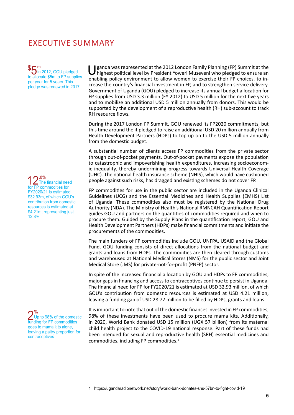### Executive summary

 $$5<sub>ln</sub>$ In 2012, GOU pledged to allocate \$5m to FP supplies per year for 5 years. This pledge was renewed in 2017

12.8%<br>for FP commodities for The financial need FY2020/21 is estimated \$32.93m, of which GOU's contribution from domestic resources is estimated at \$4.21m, representing just 12.8%

2%<br>Up to 98% of the domes<br>funding for FP commodities % Up to 98% of the domestic goes to mama kits alone, leaving a paltry proportion for contraceptives

U ganda was represented at the 2012 London Family Planning (FP) Summit at the highest political level by President Yoweri Museveni who pledged to ensure an explanation and in an element to all the weapons to ensure the in enabling policy environment to allow women to exercise their FP choices, to increase the country's financial investment in FP, and to strengthen service delivery. Government of Uganda (GOU) pledged to increase its annual budget allocation for FP supplies from USD 3.3 million (FY 2012) to USD 5 million for the next five years and to mobilize an additional USD 5 million annually from donors. This would be supported by the development of a reproductive health (RH) sub-account to track RH resource flows.

During the 2017 London FP Summit, GOU renewed its FP2020 commitments, but this time around the it pledged to raise an additional USD 20 million annually from Health Development Partners (HDPs) to top up on to the USD 5 million annually from the domestic budget.

A substantial number of clients access FP commodities from the private sector through out-of-pocket payments. Out-of-pocket payments expose the population to catastrophic and impoverishing health expenditures, increasing socioeconomic inequality, thereby undermining progress towards Universal Health Coverage (UHC). The national health insurance scheme (NHIS), which would have cushioned people against such risks, has dragged and existing schemes do not cover FP.

FP commodities for use in the public sector are included in the Uganda Clinical Guidelines (UCG) and the Essential Medicines and Health Supplies (EMHS) List of Uganda. These commodities also must be registered by the National Drug Authority (NDA). The Ministry of Health's National RMNCAH Quantification Report guides GOU and partners on the quantities of commodities required and when to procure them. Guided by the Supply Plans in the quantification report, GOU and Health Development Partners (HDPs) make financial commitments and initiate the procurements of the commodities.

The main funders of FP commodities include GOU, UNFPA, USAID and the Global Fund. GOU funding consists of direct allocations from the national budget and grants and loans from HDPs. The commodities are then cleared through customs and warehoused at National Medical Stores (NMS) for the public sector and Joint Medical Store (JMS) for private-not-for-profit (PNFP) sector.

In spite of the increased financial allocation by GOU and HDPs to FP commodities, major gaps in financing and access to contraceptives continue to persist in Uganda. The financial need for FP for FY2020/21 is estimated at USD 32.93 million, of which GOU's contribution from domestic resources is estimated at USD 4.21 million, leaving a funding gap of USD 28.72 million to be filled by HDPs, grants and loans.

It is important to note that out of the domestic finances invested in FP commodities, 98% of these investments have been used to procure mama kits. Additionally, in 2020, World Bank donated USD 15 million (UGX 57 billion) from its maternal child health project to the COVID-19 national response. Part of these funds had been intended for sexual and reproductive health (SRH) essential medicines and commodities, including FP commodities.<sup>1</sup>

<sup>1</sup> https://ugandaradionetwork.net/story/world-bank-donates-shs-57bn-to-fight-covid-19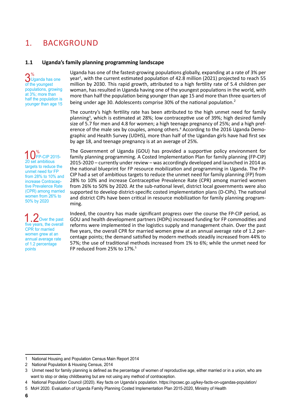### 1. Background

#### **1.1 Uganda's family planning programming landscape**

 $3<sup>%</sup>$ Uganda has one of the youngest populations, growing at 3%; more than half the population is younger than age 15 Uganda has one of the fastest-growing populations globally, expanding at a rate of 3% per year<sup>1</sup>, with the current estimated population of 42.8 million (2021) projected to reach 55 million by 2030. This rapid growth, attributed to a high fertility rate of 5.4 children per woman, has resulted in Uganda having one of the youngest populations in the world, with more than half the population being younger than age 15 and more than three quarters of being under age 30. Adolescents comprise 30% of the national population.<sup>2</sup>

The country's high fertility rate has been attributed to the high unmet need for family planning<sup>3</sup>, which is estimated at 28%; low contraceptive use of 39%; high desired family size of 5.7 for men and 4.8 for women; a high teenage pregnancy of 25%; and a high preference of the male sex by couples, among others.<sup>4</sup> According to the 2016 Uganda Demographic and Health Survey (UDHS), more than half of the Ugandan girls have had first sex by age 18, and teenage pregnancy is at an average of 25%.

 $\bigcap_{20}^{\infty}$ FP-CIP 2015-20 set ambitious targets to reduce the unmet need for FP from 28% to 10% and increase Contraceptive Prevalence Rate (CPR) among married women from 26% to 50% by 2020

 $2$ Over the past five years, the overall CPR for married women grew at an annual average rate of 1.2 percentage points

The Government of Uganda (GOU) has provided a supportive policy environment for family planning programming. A Costed Implementation Plan for family planning (FP-CIP) 2015-2020 – currently under review – was accordingly developed and launched in 2014 as the national blueprint for FP resource mobilization and programming in Uganda. The FP-CIP had a set of ambitious targets to reduce the unmet need for family planning (FP) from 28% to 10% and increase Contraceptive Prevalence Rate (CPR) among married women from 26% to 50% by 2020. At the sub-national level, district local governments were also supported to develop district-specific costed implementation plans (D-CIPs). The national and district CIPs have been critical in resource mobilization for family planning programming.

Indeed, the country has made significant progress over the course the FP-CIP period, as GOU and health development partners (HDPs) increased funding for FP commodities and reforms were implemented in the logistics supply and management chain. Over the past five years, the overall CPR for married women grew at an annual average rate of 1.2 percentage points; the demand satisfied by modern methods steadily increased from 44% to 57%; the use of traditional methods increased from 1% to 6%; while the unmet need for FP reduced from 25% to 17%.<sup>5</sup>

<sup>1</sup> National Housing and Population Census Main Report 2014

<sup>2</sup> National Population & Housing Census, 2014

<sup>3</sup>  Unmet need for family planning is defined as the percentage of women of reproductive age, either married or in a union, who are want to stop or delay childbearing but are not using any method of contraception.

<sup>4</sup>  National Population Council (2020). Key facts on Uganda's population. https://npcsec.go.ug/key-facts-on-ugandas-population/

<sup>5</sup> MoH 2020. Evaluation of Uganda Family Planning Costed Implementation Plan 2015-2020, Ministry of Health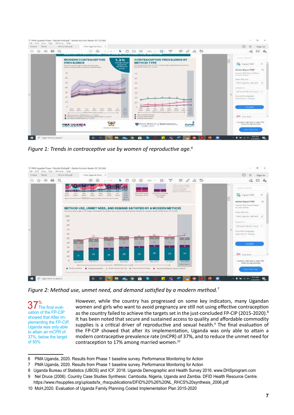| <b>Tools</b><br><b>FILLITERS</b> | FAAL Ugainla Phas *<br><b>ARTISA NEA poli-</b>                                                                                                                                                                                                                                                                                                                                             |                                                                                                                                                                                                                                                                                        | œ<br>Sign In<br>n                                                                                                                                                    |  |
|----------------------------------|--------------------------------------------------------------------------------------------------------------------------------------------------------------------------------------------------------------------------------------------------------------------------------------------------------------------------------------------------------------------------------------------|----------------------------------------------------------------------------------------------------------------------------------------------------------------------------------------------------------------------------------------------------------------------------------------|----------------------------------------------------------------------------------------------------------------------------------------------------------------------|--|
| ☆ ⊙ ●                            | $\bullet$ $\circ$ $\circ$<br>$\circ$<br>CO.<br>$\bigcirc$<br>1.7771                                                                                                                                                                                                                                                                                                                        | $\cdots \quad \mathbb{N} \cdot \mathbb{T} \quad \boxplus \quad \mathcal{L} \ \& \ \mathbb{D}$<br>$\circ$                                                                                                                                                                               | $\Box$ $\Delta_0$                                                                                                                                                    |  |
|                                  | <b>MODERN CONTRACEPTIVE</b><br>1.2%<br><b>PREVALENCE</b><br><b><i>UNIVERSITY SETTING</i></b>                                                                                                                                                                                                                                                                                               | <b>CONTRACEPTIVE PREVALENCE BV</b><br><b>METHOD TVPE</b>                                                                                                                                                                                                                               | Search Hitchelon                                                                                                                                                     |  |
|                                  | university on<br>Percent of scenare age \$1.49 careers with ?<br>nc:Witwall<br>maker contract/or (inCPS) by methal blokes<br>woman.<br>Contribution of the Contribution of the Con-<br>20<br>s<br>50<br>40                                                                                                                                                                                 | Percent of interest sign RS-49 commete away contractables by method<br>Volgan (1983) A Phones 1 art 1 4 1991<br>THE WAY THE STATE OF<br>70<br>AD.<br>50<br>1407                                                                                                                        | <b>CA</b> Export FDF<br>Adobe Export PDF<br>Danisal, PDF Filed In Miles<br>or bicer (Stelve)<br>Seiner PDF Eiler<br><b>BMA LIQUIDEAL</b> BANTAHE SC<br>Distanced bio |  |
|                                  | 30<br>201<br>30<br>$\circ$<br>Dail.<br>AND COLLARS<br><b>SAR</b><br>dealers.<br>1 Falls<br><b>RAug</b><br><b><i>Diskup</i></b><br><b>DOUG</b><br>2014 2015 2015 2016 2007 2017 2019<br><b>PRIX</b><br>Contractor and PMA2020 actesy ramship<br><b>Player</b><br><b>B</b> Multipoll winnings (PREA Photo) S.A. (2,233)<br>×<br>All Allenartist consideration assessed (PMA Phone ) or 2013. | 30 <sup>2</sup><br>20<br>10 <sup>°</sup><br>$\circ$<br>THE<br>Apr 1<br><b>William</b><br><b>Arkage</b><br>3000<br>2014 - WILL CRISE<br>2010<br>3034 : 8046 - 2045 -<br>PHOTO SAMPLE CARD CORP.<br>most<br><b>Parents</b><br>· Stort as it's prothats<br><b>C</b> Longua (Walland Down) | Mid-second Ward (Subject) 25<br>Плодитете сатронал.<br>hngrish (12.5.1 <hings)<br><b>Connect</b><br/>and state area.</hings)<br>                                     |  |
|                                  | <b>PMA UGANDA</b><br><b>CANADA E ANGHAR FIX ATEA</b><br>BOARDED STOLERS TO                                                                                                                                                                                                                                                                                                                 | <b>EX JOURN HOPKING</b><br>SAN CHARLES CHARLES CONTROL<br>inplega<br>Bearington in Second                                                                                                                                                                                              | Consuler), make wisd to singer PCH<br>formi di agresimento<br>- Pres 7-Day Trial                                                                                     |  |

*Figure 1: Trends in contraceptive use by women of reproductive age.<sup>6</sup>*



*Figure 2: Method use, unmet need, and demand satisfied by a modern method.<sup>7</sup>*

 $37<sup>%</sup>$  The final evaluation of the FP-CIP showed that After implementing the FP-CIP, Uganda was only able to attain an mCPR of 37%, below the target of 50%

However, while the country has progressed on some key indicators, many Ugandan women and girls who want to avoid pregnancy are still not using effective contraception as the country failed to achieve the targets set in the just-concluded FP-CIP (2015-2020).<sup>8</sup> It has been noted that secure and sustained access to quality and affordable commodity supplies is a critical driver of reproductive and sexual health.<sup>9</sup> The final evaluation of the FP-CIP showed that after its implementation, Uganda was only able to attain a modern contraceptive prevalence rate (mCPR) of 37%, and to reduce the unmet need for contraception to 17% among married women.<sup>10</sup>

<sup>6</sup>  PMA Uganda, 2020. Results from Phase 1 baseline survey. Performance Monitoring for Action

<sup>7</sup>  PMA Uganda, 2020. Results from Phase 1 baseline survey. Performance Monitoring for Action

<sup>8</sup> Uganda Bureau of Statistics (UBOS) and ICF. 2018. Uganda Demographic and Health Survey 2016. www.DHSprogram.com

<sup>9</sup> Nel Druce (2006). Country Case Studies Synthesis: Cambodia, Nigeria, Uganda and Zambia. DFID Health Resource Centre.

https://www.rhsupplies.org/uploads/tx\_rhscpublications/DFID%20%26%20NL\_RHCS%20synthesis\_2006.pdf

<sup>10</sup> MoH,2020. Evaluation of Uganda Family Planning Costed Implementation Plan 2015-2020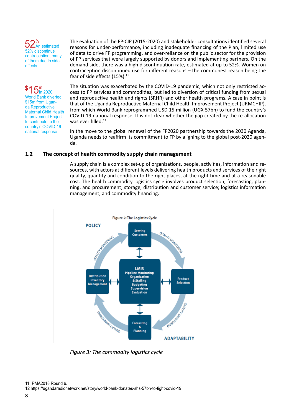52% An estimated 52% discontinue contraception, many of them due to side effects

\$  $15<sub>in 2020</sub>$ World Bank diverted

\$15m from Uganda Reproductive Maternal Child Health Improvement Project to contribute to the country's COVID-19 national response

The evaluation of the FP-CIP (2015-2020) and stakeholder consultations identified several reasons for under-performance, including inadequate financing of the Plan, limited use of data to drive FP programming, and over-reliance on the public sector for the provision of FP services that were largely supported by donors and implementing partners. On the demand side, there was a high discontinuation rate, estimated at up to 52%. Women on contraception discontinued use for different reasons – the commonest reason being the fear of side effects (15%).<sup>11</sup>

The situation was exacerbated by the COVID-19 pandemic, which not only restricted access to FP services and commodities, but led to diversion of critical funding from sexual and reproductive health and rights (SRHR) and other health programs. A case in point is that of the Uganda Reproductive Maternal Child Health Improvement Project (URMCHIP), from which World Bank reprogrammed USD 15 million (UGX 57bn) to fund the country's COVID-19 national response. It is not clear whether the gap created by the re-allocation was ever filled.<sup>12</sup>

In the move to the global renewal of the FP2020 partnership towards the 2030 Agenda, Uganda needs to reaffirm its commitment to FP by aligning to the global post-2020 agenda.

#### **1.2 The concept of health commodity supply chain management**

A supply chain is a complex set-up of organizations, people, activities, information and resources, with actors at different levels delivering health products and services of the right quality, quantity and condition to the right places, at the right time and at a reasonable cost. The health commodity logistics cycle involves product selection; forecasting, planning, and procurement; storage, distribution and customer service; logistics information management; and commodity financing.



*Figure 3: The commodity logistics cycle*

<sup>11</sup> PMA2018 Round 6.

<sup>12</sup> https://ugandaradionetwork.net/story/world-bank-donates-shs-57bn-to-fight-covid-19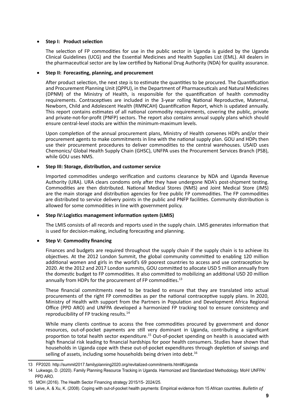#### **Step I: Product selection**

The selection of FP commodities for use in the public sector in Uganda is guided by the Uganda Clinical Guidelines (UCG) and the Essential Medicines and Health Supplies List (EML). All dealers in the pharmaceutical sector are by law certified by National Drug Authority (NDA) for quality assurance.

#### Step II: Forecasting, planning, and procurement

After product selection, the next step is to estimate the quantities to be procured. The Quantification and Procurement Planning Unit (QPPU), in the Department of Pharmaceuticals and Natural Medicines (DPNM) of the Ministry of Health, is responsible for the quantification of health commodity requirements. Contraceptives are included in the 3-year rolling National Reproductive, Maternal, Newborn, Child and Adolescent Health (RMNCAH) Quantification Report, which is updated annually. This report contains estimates of all national commodity requirements, covering the public, private and private-not-for-profit (PNFP) sectors. The report also contains annual supply plans which should ensure central-level stocks are within the minimum-maximum levels.

Upon completion of the annual procurement plans, Ministry of Health convenes HDPs and/or their procurement agents to make commitments in line with the national supply plan. GOU and HDPs then use their procurement procedures to deliver commodities to the central warehouses. USAID uses Chemonics/ Global Health Supply Chain (GHSC), UNFPA uses the Procurement Services Branch (PSB), while GOU uses NMS.

#### **Step III: Storage, distribution, and customer service**

Imported commodities undergo verification and customs clearance by NDA and Uganda Revenue Authority (URA). URA clears condoms only after they have undergone NDA's post-shipment testing. Commodities are then distributed. National Medical Stores (NMS) and Joint Medical Store (JMS) are the main storage and distribution agencies for free public FP commodities. The FP commodities are distributed to service delivery points in the public and PNFP facilities. Community distribution is allowed for some commodities in line with government policy.

#### **Step IV: Logistics management information system (LMIS)**

The LMIS consists of all records and reports used in the supply chain. LMIS generates information that is used for decision-making, including forecasting and planning.

#### **Step V: Commodity financing**

Finances and budgets are required throughout the supply chain if the supply chain is to achieve its objectives. At the 2012 London Summit, the global community committed to enabling 120 million additional women and girls in the world's 69 poorest countries to access and use contraception by 2020. At the 2012 and 2017 London summits, GOU committed to allocate USD 5 million annually from the domestic budget to FP commodities. It also committed to mobilizing an additional USD 20 million annually from HDPs for the procurement of FP commodities.<sup>13</sup>

These financial commitments need to be tracked to ensure that they are translated into actual procurements of the right FP commodities as per the national contraceptive supply plans. In 2020, Ministry of Health with support from the Partners in Population and Development Africa Regional Office (PPD ARO) and UNFPA developed a harmonized FP tracking tool to ensure consistency and reproducibility of FP tracking results.<sup>14</sup>

While many clients continue to access the free commodities procured by government and donor resources, out-of-pocket payments are still very dominant in Uganda, contributing a significant proportion to total health sector expenditure.<sup>15</sup> Out-of-pocket spending on health is associated with high financial risk leading to financial hardships for poor health consumers. Studies have shown that households in Uganda cope with these out-of-pocket expenditures through depletion of savings and selling of assets, including some households being driven into debt.<sup>16</sup>

<sup>13</sup> FP2020. http://summit2017.familyplanning2020.org/revitalized-commitments.html#Uganda

<sup>14</sup> Lukwago, D. (2020). Family Planning Resource Tracking in Uganda. Harmonized and Standardized Methodology. MoH/ UNFPA/ PPD ARO.

<sup>15</sup> MOH (2016). The Health Sector Financing strategy 2015/15- 2024/25.

<sup>16</sup> Leive, A. & Xu, K. (2008). Coping with out-of-pocket health payments: Empirical evidence from 15 African countries. *Bulletin of*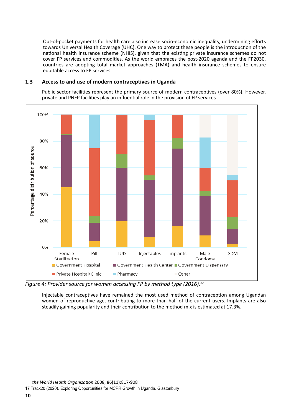Out-of-pocket payments for health care also increase socio-economic inequality, undermining efforts towards Universal Health Coverage (UHC). One way to protect these people is the introduction of the national health insurance scheme (NHIS), given that the existing private insurance schemes do not cover FP services and commodities. As the world embraces the post-2020 agenda and the FP2030, countries are adopting total market approaches (TMA) and health insurance schemes to ensure equitable access to FP services.

#### **1.3 Access to and use of modern contraceptives in Uganda**

Public sector facilities represent the primary source of modern contraceptives (over 80%). However, private and PNFP facilities play an influential role in the provision of FP services.



*Figure 4: Provider source for women accessing FP by method type (2016).<sup>17</sup>*

Injectable contraceptives have remained the most used method of contraception among Ugandan women of reproductive age, contributing to more than half of the current users. Implants are also steadily gaining popularity and their contribution to the method mix is estimated at 17.3%.

*the World Health Organization* 2008, 86(11):817-908

<sup>17</sup> Track20 (2020). Exploring Opportunities for MCPR Growth in Uganda. Glastonbury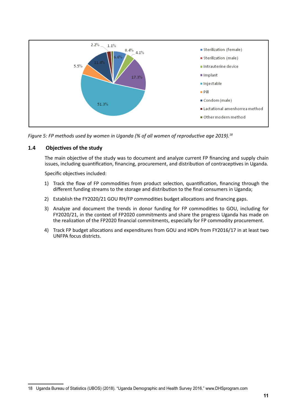

*Figure 5: FP methods used by women in Uganda (% of all women of reproductive age 2019).<sup>18</sup>*

#### **1.4 Objectives of the study**

The main objective of the study was to document and analyze current FP financing and supply chain issues, including quantification, financing, procurement, and distribution of contraceptives in Uganda.

Specific objectives included:

- 1) Track the flow of FP commodities from product selection, quantification, financing through the different funding streams to the storage and distribution to the final consumers in Uganda;
- 2) Establish the FY2020/21 GOU RH/FP commodities budget allocations and financing gaps.
- 3) Analyze and document the trends in donor funding for FP commodities to GOU, including for FY2020/21, in the context of FP2020 commitments and share the progress Uganda has made on the realization of the FP2020 financial commitments, especially for FP commodity procurement.
- 4) Track FP budget allocations and expenditures from GOU and HDPs from FY2016/17 in at least two UNFPA focus districts.

<sup>18</sup> Uganda Bureau of Statistics (UBOS) (2018). "Uganda Demographic and Health Survey 2016." www.DHSprogram.com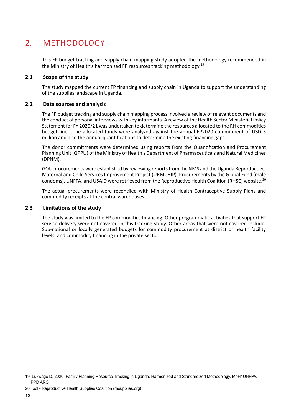### 2. Methodology

This FP budget tracking and supply chain mapping study adopted the methodology recommended in the Ministry of Health's harmonized FP resources tracking methodology.19

#### **2.1 Scope of the study**

The study mapped the current FP financing and supply chain in Uganda to support the understanding of the supplies landscape in Uganda.

#### **2.2 Data sources and analysis**

The FP budget tracking and supply chain mapping process involved a review of relevant documents and the conduct of personal interviews with key informants. A review of the Health Sector Ministerial Policy Statement for FY 2020/21 was undertaken to determine the resources allocated to the RH commodities budget line. The allocated funds were analyzed against the annual FP2020 commitment of USD 5 million and also the annual quantifications to determine the existing financing gaps.

The donor commitments were determined using reports from the Quantification and Procurement Planning Unit (QPPU) of the Ministry of Health's Department of Pharmaceuticals and Natural Medicines (DPNM).

GOU procurements were established by reviewing reports from the NMS and the Uganda Reproductive, Maternal and Child Services Improvement Project (URMCHIP). Procurements by the Global Fund (male condoms), UNFPA, and USAID were retrieved from the Reproductive Health Coalition (RHSC) website.<sup>20</sup>

The actual procurements were reconciled with Ministry of Health Contraceptive Supply Plans and commodity receipts at the central warehouses.

#### **2.3 Limitations of the study**

The study was limited to the FP commodities financing. Other programmatic activities that support FP service delivery were not covered in this tracking study. Other areas that were not covered include: Sub-national or locally generated budgets for commodity procurement at district or health facility levels; and commodity financing in the private sector.

<sup>19</sup> Lukwago D, 2020. Family Planning Resource Tracking in Uganda. Harmonized and Standardized Methodology. MoH/ UNFPA/ PPD ARO

<sup>20</sup> Tool - Reproductive Health Supplies Coalition (rhsupplies.org)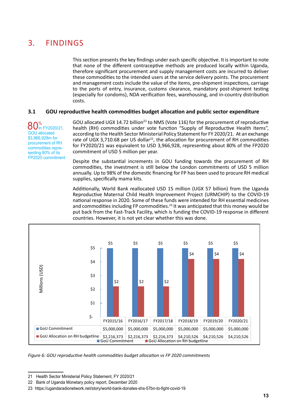### 3. Findings

This section presents the key findings under each specific objective. It is important to note that none of the different contraceptive methods are produced locally within Uganda, therefore significant procurement and supply management costs are incurred to deliver these commodities to the intended users at the service delivery points. The procurement and management costs include the value of the items, pre-shipment inspections, carriage to the ports of entry, insurance, customs clearance, mandatory post-shipment testing (especially for condoms), NDA verification fees, warehousing, and in-country distribution costs.

#### **3.1 GOU reproductive health commodities budget allocation and public sector expenditure**

80<sup>%</sup><br>
801h FY2020/21, GOU allocated \$3,966,928m for procurement of RH commodities representing 80% of its FP2020 commitment GOU allocated UGX 14.72 billion<sup>21</sup> to NMS (Vote 116) for the procurement of reproductive health (RH) commodities under vote function "Supply of Reproductive Health Items", according to the Health Sector Ministerial Policy Statement for FY 2020/21. At an exchange rate of UGX 3,710.68 per US dollar<sup>22</sup>, the allocation for procurement of RH commodities for FY2020/21 was equivalent to USD 3,966,928, representing about 80% of the FP2020 commitment of USD 5 million per year.

Despite the substantial increments in GOU funding towards the procurement of RH commodities, the investment is still below the London commitments of USD 5 million annually. Up to 98% of the domestic financing for FP has been used to procure RH medical supplies, specifically mama kits.

Additionally, World Bank reallocated USD 15 million (UGX 57 billion) from the Uganda Reproductive Maternal Child Health Improvement Project (URMCHIP) to the COVID-19 national response in 2020. Some of these funds were intended for RH essential medicines and commodities including FP commodities.<sup>23</sup> It was anticipated that this money would be put back from the Fast-Track Facility, which is funding the COVID-19 response in different countries. However, it is not yet clear whether this was done.



*Figure 6: GOU reproductive health commodities budget allocation vs FP 2020 commitments*

<sup>21</sup> Health Sector Ministerial Policy Statement, FY 2020/21

<sup>22</sup> Bank of Uganda Monetary policy report, December 2020

<sup>23</sup> https://ugandaradionetwork.net/story/world-bank-donates-shs-57bn-to-fight-covid-19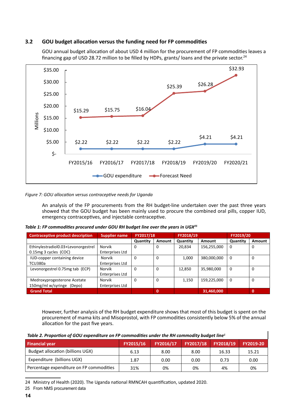#### **3.2 GOU budget allocation versus the funding need for FP commodities**



GOU annual budget allocation of about USD 4 million for the procurement of FP commodities leaves a financing gap of USD 28.72 million to be filled by HDPs, grants/ loans and the private sector.<sup>24</sup>

#### *Figure 7: GOU allocation versus contraceptive needs for Uganda*

An analysis of the FP procurements from the RH budget-line undertaken over the past three years showed that the GOU budget has been mainly used to procure the combined oral pills, copper IUD, emergency contraceptives, and injectable contraceptive.

| <b>Contraceptive product description</b>                     | FY2017/18<br><b>Supplier name</b> |          |          | FY2018/19 |             | FY2019/20 |             |
|--------------------------------------------------------------|-----------------------------------|----------|----------|-----------|-------------|-----------|-------------|
|                                                              |                                   | Quantity | Amount   | Quantity  | Amount      | Quantity  | Amount      |
| Ethinylestradiol0.03+Levonorgestrel<br>0.15mg 3 cycles (COC) | <b>Norvik</b><br>Enterprises Ltd  | 0        | 0        | 20,834    | 156,255,000 | $\Omega$  | 0           |
| IUD-copper containing device<br>TCU380a                      | Norvik<br>Enterprises Ltd         | 0        | $\Omega$ | 1.000     | 380,000,000 | $\Omega$  | $\Omega$    |
| Levonorgestrel 0.75mg tab (ECP)                              | Norvik<br>Enterprises Ltd         | 0        | $\Omega$ | 12,850    | 35,980,000  | $\Omega$  | $\mathbf 0$ |
| Medroxyprogesterone Acetate<br>150mg/ml w/syringe (Depo)     | Norvik<br>Enterprises Ltd         | 0        | $\Omega$ | 1,150     | 159,225,000 | $\Omega$  | $\Omega$    |
| <b>Grand Total</b>                                           |                                   |          | $\bf{0}$ |           | 31,460,000  |           | $\bf{0}$    |

However, further analysis of the RH budget expenditure shows that most of this budget is spent on the procurement of mama kits and Misoprostol, with FP commodities consistently below 5% of the annual allocation for the past five years.

|--|

| <b>Financial year</b>                    | FY2015/16 | FY2016/17 | FY2017/18 | FY2018/19 | FY2019-20 |
|------------------------------------------|-----------|-----------|-----------|-----------|-----------|
| <b>Budgwt allocation (billions UGX)</b>  | 6.13      | 8.00      | 8.00      | 16.33     | 15.21     |
| Expenditure (billions UGX)               | 1.87      | 0.00      | 0.00      | 0.73      | 0.00      |
| Percentage expenditure on FP commodities | 31%       | 0%        | 0%        | 4%        | 0%        |

24 Ministry of Health (2020). The Uganda national RMNCAH quantification, updated 2020.

25 From NMS procurement data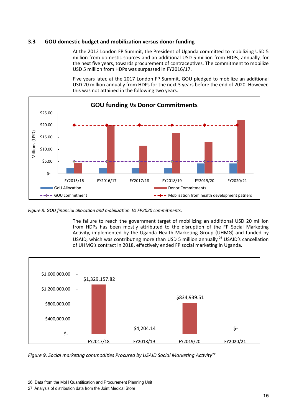#### **3.3 GOU domestic budget and mobilization versus donor funding**

At the 2012 London FP Summit, the President of Uganda committed to mobilizing USD 5 million from domestic sources and an additional USD 5 million from HDPs, annually, for the next five years, towards procurement of contraceptives. The commitment to mobilize USD 5 million from HDPs was surpassed in FY2016/17.

Five years later, at the 2017 London FP Summit, GOU pledged to mobilize an additional USD 20 million annually from HDPs for the next 3 years before the end of 2020. However, this was not attained in the following two years.



*Figure 8: GOU financial allocation and mobilization Vs FP2020 commitments.*

The failure to reach the government target of mobilizing an additional USD 20 million from HDPs has been mostly attributed to the disruption of the FP Social Marketing Activity, implemented by the Uganda Health Marketing Group (UHMG) and funded by USAID, which was contributing more than USD 5 million annually.<sup>26</sup> USAID's cancellation of UHMG's contract in 2018, effectively ended FP social marketing in Uganda.



*Figure 9. Social marketing commodities Procured by USAID Social Marketing Activity<sup>27</sup>*

<sup>26</sup> Data from the MoH Quantification and Procurement Planning Unit

<sup>27</sup> Analysis of distribution data from the Joint Medical Store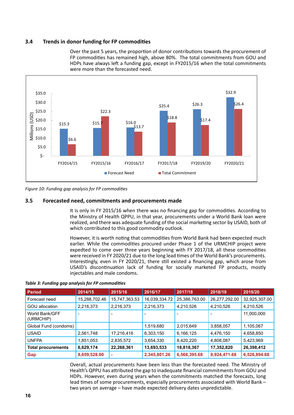#### **3.4 Trends in donor funding for FP commodities**

Over the past 5 years, the proportion of donor contributions towards the procurement of FP commodities has remained high, above 80%. The total commitments from GOU and HDPs have always left a funding gap, except in FY2015/16 when the total commitments were more than the forecasted need.



*Figure 10: Funding gap analysis for FP commodities*

#### **3.5 Forecasted need, commitments and procurements made**

It is only in FY 2015/16 when there was no financing gap for commodities. According to the Ministry of Health QPPU, in that year, procurements under a World Bank loan were realized, and there was adequate funding of the social marketing sector by USAID, both of which contributed to this good commodity outlook.

However, it is worth noting that commodities from World Bank had been expected much earlier. While the commodities procured under Phase 1 of the URMCHIP project were expedted to come over three years beginning with FY 2017/18, all these commodities were received in FY 2020/21 due to the long lead times of the World Bank's procurements. Interestingly, even in FY 2020/21, there still existed a financing gap, which arose from USAID's discontinuation lack of funding for socially marketed FP products, mostly injectables and male condoms.

| <b>Period</b>               | 2014/15       | 2015/16       | 2016/17       | 2017/18       | 2018/19       | 2019/20       |
|-----------------------------|---------------|---------------|---------------|---------------|---------------|---------------|
| Forecast need               | 15,288,702.46 | 15,747,363.53 | 16,039,334.72 | 25,386,763.00 | 26,277,292.00 | 32,925,307.00 |
| <b>GOU allocation</b>       | 2,216,373     | 2,216,373     | 2,216,373     | 4,210,526     | 4,210,526     | 4,210,526     |
| World Bank/GFF<br>(URMCHIP) |               |               |               |               |               | 11,000,000    |
| Global Fund (condoms)       |               |               | 1,519,680     | 2,015,649     | 3,858,057     | 1,105,067     |
| <b>USAID</b>                | 2,561,748     | 17,216,416    | 6,303,150     | 6,166,125     | 4,476,150     | 4,658,850     |
| <b>UNFPA</b>                | 1,851,053     | 2,835,572     | 3,654,330     | 8,420,220     | 4,808,087     | 5,423,969     |
| <b>Total procurements</b>   | 6,629,174     | 22,268,361    | 13,693,533    | 18,818,367    | 17,352,820    | 26,398,412    |
| Gap                         | 8,659,528.00  |               | 2,345,801.26  | 6,568,395.68  | 8,924,471.68  | 6,526,894.68  |

*Table 3: Funding gap analysis for FP commodities*

Overall, actual procurements have been less than the forecasted need. The Ministry of Health's QPPU has attributed the gap to inadequate financial commitments from GOU and HDPs. However, even during years when the commitments matched the forecasts, long lead times of some procurements, especially procurements associated with World Bank – two years on average – have made expected delivery dates unpredictable.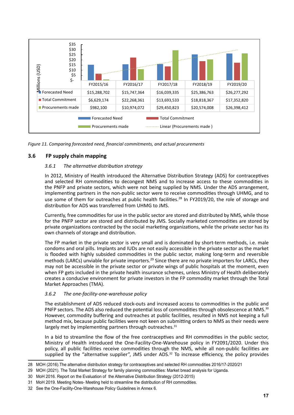

*Figure 11. Comparing forecasted need, financial commitments, and actual procurements*

#### **3.6 FP supply chain mapping**

#### *3.6.1 The alternative distribution strategy*

In 2012, Ministry of Health introduced the Alternative Distribution Strategy (ADS) for contraceptives and selected RH commodities to decongest NMS and to increase access to these commodities in the PNFP and private sectors, which were not being supplied by NMS. Under the ADS arrangement, implementing partners in the non-public sector were to receive commodities through UHMG, and to use some of them for outreaches at public health facilities.<sup>28</sup> In FY2019/20, the role of storage and distribution for ADS was transferred from UHMG to JMS.

Currently, free commodities for use in the public sector are stored and distributed by NMS, while those for the PNFP sector are stored and distributed by JMS. Socially marketed commodities are stored by private organizations contracted by the social marketing organizations, while the private sector has its own channels of storage and distribution.

The FP market in the private sector is very small and is dominated by short-term methods, i.e. male condoms and oral pills. Implants and IUDs are not easily accessible in the private sector as the market is flooded with highly subsided commodities in the public sector, making long-term and reversible methods (LARCs) unviable for private importers.<sup>29</sup> Since there are no private importers for LARCs, they may not be accessible in the private sector or private wings of public hospitals at the moment, even when FP gets included in the private health insurance schemes, unless Ministry of Health deliberately creates a conducive environment for private investors in the FP commodity market through the Total Market Approaches (TMA).

#### *3.6.2 The one-facility-one-warehouse policy*

The establishment of ADS reduced stock-outs and increased access to commodities in the public and PNFP sectors. The ADS also reduced the potential loss of commodities through obsolescence at NMS.<sup>30</sup> However, commodity buffering and outreaches at public facilities, resulted in NMS not keeping a full method mix, because public facilities were not keen on submitting orders to NMS as their needs were largely met by implementing partners through outreaches.<sup>31</sup>

In a bid to streamline the flow of the free contraceptives and RH commodities in the public sector, Ministry of Health introduced the One-Facility-One-Warehouse policy in FY2091/2020. Under this policy, all public facilities receive commodities through the NMS, while all non-public facilities are supplied by the "alternative supplier", JMS under ADS.<sup>32</sup> To increase efficiency, the policy provides

<sup>28</sup> MOH (2016).The alternative distribution strategy for contraceptives and selected RH commodities 2016/17-2020/21

<sup>29</sup> MOH (2021). The Total Market Strategy for family planning commodities: Market bread analysis for Uganda.

<sup>30</sup> MoH 2016. Report on the Evaluation of the Alternative Distribution Strategy (2012-2015)

<sup>31</sup> MoH 2019. Meeting Notes- Meeting held to streamline the distribution of RH commodities.

<sup>32</sup> See the One-Facility-One-Warehouse Policy Guidelines in Annex 6.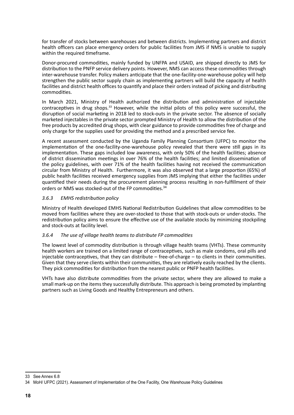for transfer of stocks between warehouses and between districts. Implementing partners and district health officers can place emergency orders for public facilities from JMS if NMS is unable to supply within the required timeframe.

Donor-procured commodities, mainly funded by UNFPA and USAID, are shipped directly to JMS for distribution to the PNFP service delivery points. However, NMS can access these commodities through inter-warehouse transfer. Policy makers anticipate that the one-facility-one-warehouse policy will help strengthen the public sector supply chain as implementing partners will build the capacity of health facilities and district health offices to quantify and place their orders instead of picking and distributing commodities.

In March 2021, Ministry of Health authorized the distribution and administration of injectable contraceptives in drug shops.<sup>33</sup> However, while the initial pilots of this policy were successful, the disruption of social marketing in 2018 led to stock-outs in the private sector. The absence of socially marketed injectables in the private sector prompted Ministry of Health to allow the distribution of the free products by accredited drug shops, with clear guidance to provide commodities free of charge and only charge for the supplies used for providing the method and a prescribed service fee.

A recent assessment conducted by the Uganda Family Planning Consortium (UFPC) to monitor the implementation of the one-facility-one-warehouse policy revealed that there were still gaps in its implementation. These gaps included low awareness, with only 50% of the health facilities; absence of district dissemination meetings in over 76% of the health facilities; and limited dissemination of the policy guidelines, with over 71% of the health facilities having not received the communication circular from Ministry of Health. Furthermore, it was also observed that a large proportion (65%) of public health facilities received emergency supplies from JMS implying that either the facilities under quantified their needs during the procurement planning process resulting in non-fulfillment of their orders or NMS was stocked-out of the FP commodities.<sup>34</sup>

#### *3.6.3 EMHS redistribution policy*

Ministry of Health developed EMHS National Redistribution Guidelines that allow commodities to be moved from facilities where they are over-stocked to those that with stock-outs or under-stocks. The redistribution policy aims to ensure the effective use of the available stocks by minimizing stockpiling and stock-outs at facility level.

#### *3.6.4 The use of village health teams to distribute FP commodities*

The lowest level of commodity distribution is through village health teams (VHTs). These community health workers are trained on a limited range of contraceptives, such as male condoms, oral pills and injectable contraceptives, that they can distribute – free-of-charge – to clients in their communities. Given that they serve clients within their communities, they are relatively easily reached by the clients. They pick commodities for distribution from the nearest public or PNFP health facilities.

VHTs have also distribute commodities from the private sector, where they are allowed to make a small mark-up on the items they successfully distribute. This approach is being promoted by implanting partners such as Living Goods and Healthy Entrepreneurs and others.

<sup>33</sup> See Annex 6.8

<sup>34</sup> MoH/ UFPC (2021). Assessment of Implementation of the One Facility, One Warehouse Policy Guidelines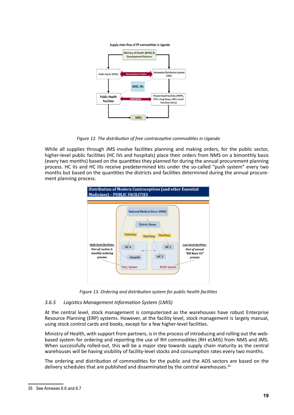



*Figure 12. The distribution of free contraceptive commodities in Uganda*

While all supplies through JMS involve facilities planning and making orders, for the public sector, higher-level public facilities (HC IVs and hospitals) place their orders from NMS on a bimonthly basis (every two months) based on the quantities they planned for during the annual procurement planning process. HC IIs and HC IIIs receive predetermined kits under the so-called "push system" every two months but based on the quantities the districts and facilities determined during the annual procurement planning process.



*Figure 13. Ordering and distribution system for public health facilities*

#### *3.6.5 Logistics Management Information System (LMIS)*

At the central level, stock management is computerized as the warehouses have robust Enterprise Resource Planning (ERP) systems. However, at the facility level, stock management is largely manual, using stock control cards and books, except for a few higher-level facilities.

Ministry of Health, with support from partners, is in the process of introducing and rolling out the webbased system for ordering and reporting the use of RH commodities (RH eLMIS) from NMS and JMS. When successfully rolled-out, this will be a major step towards supply chain maturity as the central warehouses will be having visibility of facility-level stocks and consumption rates every two months.

The ordering and distribution of commodities for the public and the ADS sectors are based on the delivery schedules that are published and disseminated by the central warehouses.<sup>35</sup>

<sup>35</sup> See Annexes 6.6 and 6.7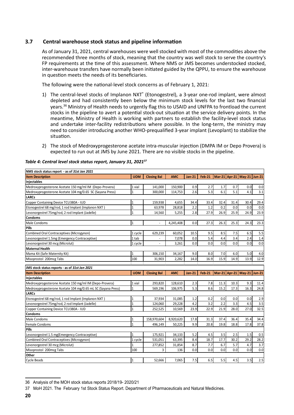#### **3.7 Central warehouse stock status and pipeline information**

As of January 31, 2021, central warehouses were well stocked with most of the commodities above the recommended three months of stock, meaning that the country was well stock to serve the country's FP requirements at the time of this assessment. Where NMS or JMS becomes understocked stocked, inter-warehouse transfers have normally been initiated guided by the QPPU, to ensure the warehouse in question meets the needs of its beneficiaries.

The following were the national-level stock concerns as of February 1, 2021:

- 1) The central-level stocks of Implanon NXT® (Etonogestrel), a 3-year one-rod implant, were almost depleted and had consistently been below the minimum stock levels for the last two financial years.<sup>36</sup> Ministry of Health needs to urgently flag this to USAID and UNFPA to frontload the current stocks in the pipeline to avert a potential stock-out situation at the service delivery points. In the meantime, Ministry of Health is working with partners to establish the facility-level stock status and undertake inter-facility redistributions where possible. In the long-term, the ministry may need to consider introducing another WHO-prequalified 3-year implant (Levoplant) to stabilize the situation.
- 2) The stock of Medroxyprogesterone acetate intra-muscular injection (DMPA IM or Depo Provera) is expected to run out at JMS by June 2021. There are no visible stocks in the pipeline.

| NMS stock status report - as of 31st Jan 2021                |                |                          |            |               |               |      |      |                             |      |  |
|--------------------------------------------------------------|----------------|--------------------------|------------|---------------|---------------|------|------|-----------------------------|------|--|
| <b>Item Description</b>                                      | <b>UOM</b>     | <b>Closing Bal</b>       | <b>AMC</b> | <b>Jan 21</b> | <b>Feb-21</b> |      |      | Mar-21 Apr-21 May-21 Jun-21 |      |  |
| Injectables                                                  |                |                          |            |               |               |      |      |                             |      |  |
| Medroxyprogesterone Acetate 150 mg/ml IM (Depo-Provera)      | 1 vial         | 141,000                  | 150,900    | 0.9           | 2.7           | 1.7  | 0.7  | 0.0                         | 0.0  |  |
| Medroxyprogesterone Acetate 104 mg/0.65 SC (Sayana Press)    | $\mathbf{1}$   | 300,000                  | 114,753    | 2.6           | 5.3           | 6.1  | 5.1  | 4.1                         | 3.1  |  |
| <b>LARCs</b>                                                 |                |                          |            |               |               |      |      |                             |      |  |
| Copper Containing Device TCU380A - IUD                       | $\mathbf{1}$   | 159,938                  | 4,655      | 34.4          | 33.4          | 32.4 | 31.4 | 30.4                        | 29.4 |  |
| Etonogestrel 68 mg/rod, 1 rod Implant (Implanon NXT)         | $\overline{1}$ | 63,978                   | 28,818     | 2.2           | 1.2           | 0.2  | 0.0  | 0.0                         | 0.0  |  |
| Levonorgestrel 75mg/rod, 2 rod Implant (Jadelle)             | $\mathbf{1}$   | 14,560                   | 5,255      | 2.8           | 27.9          | 26.9 | 25.9 | 24.9                        | 23.9 |  |
| <b>Condoms</b>                                               |                |                          |            |               |               |      |      |                             |      |  |
| Male Condoms                                                 | $\mathbf 1$    | $\overline{\phantom{a}}$ | 4,245,408  | 0.0           | 27.3          | 26.3 | 25.3 | 24.3                        | 23.3 |  |
| Pills                                                        |                |                          |            |               |               |      |      |                             |      |  |
| <b>Combined Oral Contraceptives (Microgynon)</b>             | 1 cycle        | 629,239                  | 60,052     | 10.5          | 9.5           | 8.5  | 7.5  | 6.5                         | 5.5  |  |
| Levonorgestrel 1.5mg (Emergency Contraceptive)               | 1 tab          |                          | 7,078      | 0.0           | 5.4           | 4.4  | 3.4  | 2.4                         | 1.4  |  |
| Levonorgestrel 30 mcg (Microlut)                             | 1 cycle        | $\blacksquare$           | 3,261      | 0.0           | 0.0           | 0.0  | 0.0  | 0.0                         | 0.0  |  |
| <b>Maternal Health</b>                                       |                |                          |            |               |               |      |      |                             |      |  |
| Mama Kit (Safe Maternity Kit)                                | $\mathbf{1}$   | 306,150                  | 34,167     | 9.0           | 8.0           | 7.0  | 6.0  | 5.0                         | 4.0  |  |
| Misoprostol 200mcg Tabs                                      | 100            | 31,903                   | 2,282      | 14.0          | 16.9          | 15.9 | 14.9 | 13.9                        | 12.9 |  |
|                                                              |                |                          |            |               |               |      |      |                             |      |  |
| JMS stock status reports - as of 31st Jan 2021               |                |                          |            |               |               |      |      |                             |      |  |
|                                                              |                |                          |            |               |               |      |      |                             |      |  |
| <b>Item Description</b>                                      | <b>UOM</b>     | <b>Closing Bal</b>       | <b>AMC</b> | <b>Jan-21</b> | <b>Feb-21</b> |      |      | Mar-21 Apr-21 May-21 Jun-21 |      |  |
| Injectables                                                  |                |                          |            |               |               |      |      |                             |      |  |
| Medroxyprogesterone Acetate 150 mg/ml IM (Depo-Provera)      | 1 vial         | 293,820                  | 128,610    | 2.3           | 7.8           | 11.3 | 10.3 | 9.3                         | 11.4 |  |
| Medroxyprogesterone Acetate 104 mg/0.65 mL SC (Sayana Press) | $\mathbf{1}$   | 569,196                  | 106,975    | 5.3           | 8.6           | 15.2 | 17.3 | 16.3                        | 24.8 |  |
| <b>LARCs</b>                                                 |                |                          |            |               |               |      |      |                             |      |  |
| Etonogestrel 68 mg/rod, 1 rod Implant (Implanon NXT)         | $\mathbf{1}$   | 37,934                   | 31,085     | 1.2           | 0.2           | 0.0  | 0.0  | 0.0                         | 2.9  |  |
| Levonorgestrel 75mg/rod, 2 rod Implant (Jadelle)             | $\overline{1}$ | 124,060                  | 29,228     | 4.2           | 3.2           | 2.2  | 3.3  | 4.5                         | 3.5  |  |
| Copper Containing Device TCU380A - IUD                       | $\mathbf{1}$   | 252,525                  | 10,569     | 23.9          | 22.9          | 21.9 | 28.0 | 27.0                        | 32.5 |  |
| <b>Condoms</b>                                               |                |                          |            |               |               |      |      |                             |      |  |
| Male Condoms                                                 | $\mathbf{1}$   | 158,970,604              | 8,920,620  | 17.8          | 31.3          | 37.4 | 36.4 | 35.4                        | 34.4 |  |
| <b>Female Condoms</b>                                        | $\mathbf{1}$   | 496,149                  | 50,225     | 9.9           | 20.8          | 19.8 | 18.8 | 17.8                        | 37.8 |  |
| Pills                                                        |                |                          |            |               |               |      |      |                             |      |  |
| Levonorgestrel 1.5 mg(Emergency Contraceptive)               | $\mathbf{1}$   | 175,921                  | 34,133     | 5.2           | 4.5           | 3.5  | 2.5  | 1.5                         | 0.5  |  |
| Combined Oral Contraceptives (Microgynon)                    | 1 cycle        | 531,051                  | 63,395     | 8.4           | 18.7          | 17.7 | 30.2 | 29.2                        | 28.2 |  |
| Levonorgestrel 30 mcg (Microlut)                             | $\mathbf{1}$   | 277,852                  | 31,854     | 8.7           | 7.7           | 6.7  | 5.7  | 4.7                         | 3.7  |  |
| Misoprostol 200mcg Tabs                                      | 100            | 3                        | 136        | 0.0           | 0.0           | 0.0  | 0.0  | 0.0                         | 0.0  |  |
| <b>Other</b><br><b>Cycle Beads</b>                           |                |                          |            | 7.5           | 6.5           | 5.5  | 4.5  | 3.5                         | 2.5  |  |

#### *Table 4: Central level stock status report, January 31, 2021<sup>37</sup>*

<sup>36</sup> Analysis of the MOH stock status reports 2018/19- 2020/21

<sup>37</sup> MoH 2021. The February 1st Stock Status Report. Department of Pharmaceuticals and Natural Medicines.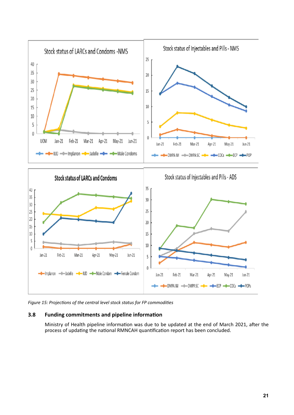

*Figure 15: Projections of the central level stock status for FP commodities*

#### **3.8 Funding commitments and pipeline information**

Ministry of Health pipeline information was due to be updated at the end of March 2021, after the process of updating the national RMNCAH quantification report has been concluded.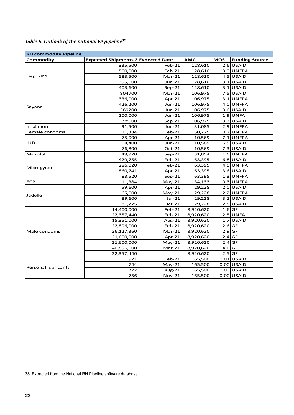### *Table 5: Outlook of the national FP pipeline<sup>38</sup>*

| <b>RH commodity Pipeline</b> |                                           |               |            |            |                       |  |  |  |
|------------------------------|-------------------------------------------|---------------|------------|------------|-----------------------|--|--|--|
| Commodity                    | <b>Expected Shipments 2 Expected Date</b> |               | <b>AMC</b> | <b>MOS</b> | <b>Funding Source</b> |  |  |  |
|                              | 335,500                                   | $Feb-21$      | 128,610    |            | 2.6 USAID             |  |  |  |
|                              | 500,000                                   | $Feb-21$      | 128,610    |            | 3.9 UNFPA             |  |  |  |
| Depo-IM                      | 583,500                                   | $Mar-21$      | 128,610    |            | $4.5$ USAID           |  |  |  |
|                              | 395,000                                   | $Jun-21$      | 128,610    |            | 3.1 USAID             |  |  |  |
|                              | 403,600                                   | $Sep-21$      | 128,610    |            | $3.1$ USAID           |  |  |  |
|                              | 804700                                    | $Mar-21$      | 106,975    |            | $7.5$ USAID           |  |  |  |
|                              | 336,000                                   | Apr-21        | 106,975    |            | $3.1$ UNFPA           |  |  |  |
|                              | 426,200                                   | Jun-21        | 106,975    |            | 4.0 UNFPA             |  |  |  |
| Sayana                       | 389200                                    | Jun-21        | 106,975    |            | $3.6$ USAID           |  |  |  |
|                              | 200,000                                   | Jun-21        | 106,975    |            | $1.9$ UNFA            |  |  |  |
|                              | 398000                                    | $Sep-21$      | 106,975    |            | $3.7$ USAID           |  |  |  |
| Implanon                     | 91,500                                    | $Jun-21$      | 31,085     |            | $2.9$ UNFPA           |  |  |  |
| Female condoms               | 11,384                                    | $Feb-21$      | 50,225     |            | $0.2$ UNFPA           |  |  |  |
|                              | 75,000                                    | $Apr-21$      | 10,569     |            | 7.1 UNFPA             |  |  |  |
| <b>IUD</b>                   | 68,400                                    | $Jun-21$      | 10,569     |            | 6.5 USAID             |  |  |  |
|                              | 76,800                                    | $Oct-21$      | 10,569     |            | $7.3$ USAID           |  |  |  |
| Microlut                     | 49,920                                    | $Sep-21$      | 31,854     |            | $1.6$ UNFPA           |  |  |  |
|                              | 429,755                                   | $Feb-21$      | 63,395     |            | $6.8$ USAID           |  |  |  |
|                              | 286,020                                   | $Feb-21$      | 63,395     |            | 4.5 UNFPA             |  |  |  |
| Microgynon                   | 860,741                                   | $Apr-21$      | 63,395     |            | $13.6$ USAID          |  |  |  |
|                              | 83,520                                    | $Sep-21$      | 63,395     |            | $1.3$ UNFPA           |  |  |  |
| <b>ECP</b>                   | 11,384                                    | $May-21$      | 34,133     |            | $0.3$ UNFPA           |  |  |  |
|                              | 59,600                                    | Apr- $21$     | 29,228     |            | $2.0$ USAID           |  |  |  |
| Jadelle                      | 65,000                                    | $May-21$      | 29,228     |            | $2.2$ UNFPA           |  |  |  |
|                              | 89,600                                    | Jul-21        | 29,228     |            | 3.1 USAID             |  |  |  |
|                              | 81,275                                    | $Oct-21$      | 29,228     |            | $2.8$ USAID           |  |  |  |
|                              | 14,400,000                                | $Feb-21$      | 8,920,620  | $1.6$ GF   |                       |  |  |  |
|                              | 22,357,440                                | $Feb-21$      | 8,920,620  |            | 2.5 UNFA              |  |  |  |
|                              | 15,351,000                                | Aug-21        | 8,920,620  |            | $1.7$ USAID           |  |  |  |
|                              | 22,896,000                                | $Feb-21$      | 8,920,620  | $2.6$ GF   |                       |  |  |  |
| Male condoms                 | 26,127,360                                | $Mar-21$      | 8,920,620  | $2.9$ GF   |                       |  |  |  |
|                              | 21,600,000                                | Apr-21        | 8,920,620  | $2.4$ GF   |                       |  |  |  |
|                              | 21,600,000                                | $May-21$      | 8,920,620  | $2.4$ GF   |                       |  |  |  |
|                              | 40,896,000                                | $Mar-21$      | 8,920,620  | $4.6$ GF   |                       |  |  |  |
|                              | 22,357,440                                |               | 8,920,620  | $2.5$ GF   |                       |  |  |  |
|                              | 921                                       | $Feb-21$      | 165,500    |            | $0.01$ USAID          |  |  |  |
| <b>Personal lubricants</b>   | 744                                       | $May-21$      | 165,500    |            | $0.00$ USAID          |  |  |  |
|                              | 772                                       | Aug-21        | 165,500    |            | $0.00$ USAID          |  |  |  |
|                              | 756                                       | <b>Nov-21</b> | 165,500    |            | $0.00$ USAID          |  |  |  |

<sup>38</sup> Extracted from the National RH Pipeline software database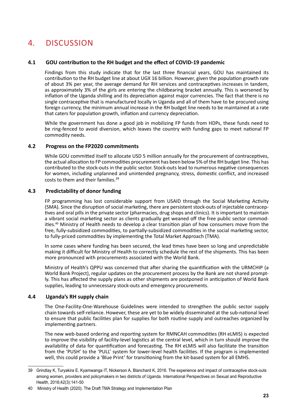## 4. Discussion

#### **4.1 GOU contribution to the RH budget and the effect of COVID-19 pandemic**

Findings from this study indicate that for the last three financial years, GOU has maintained its contribution to the RH budget line at about UGX 16 billion. However, given the population growth rate of about 3% per year, the average demand for RH services and contraceptives increases in tandem, as approximately 3% of the girls are entering the childbearing bracket annually. This is worsened by inflation of the Uganda shilling and its depreciation against major currencies. The fact that there is no single contraceptive that is manufactured locally in Uganda and all of them have to be procured using foreign currency, the minimum annual increase in the RH budget line needs to be maintained at a rate that caters for population growth, inflation and currency depreciation.

While the government has done a good job in mobilizing FP funds from HDPs, these funds need to be ring-fenced to avoid diversion, which leaves the country with funding gaps to meet national FP commodity needs.

#### **4.2 Progress on the FP2020 commitments**

While GOU committed itself to allocate USD 5 million annually for the procurement of contraceptives, the actual allocation to FP commodities procurement has been below 5% of the RH budget line. This has contributed to the stock-outs in the public sector. Stock-outs lead to numerous negative consequences for women, including unplanned and unintended pregnancy, stress, domestic conflict, and increased costs to them and their families.<sup>39</sup>

#### **4.3 Predictability of donor funding**

FP programming has lost considerable support from USAID through the Social Marketing Activity (SMA). Since the disruption of social marketing, there are persistent stock-outs of injectable contraceptives and oral pills in the private sector (pharmacies, drug shops and clinics). It is important to maintain a vibrant social marketing sector as clients gradually get weaned off the free public sector commodities.<sup>40</sup> Ministry of Health needs to develop a clear transition plan of how consumers move from the free, fully-subsidized commodities, to partially-subsidized commodities in the social marketing sector, to fully-priced commodities by implementing the Total Market Approach (TMA).

In some cases where funding has been secured, the lead times have been so long and unpredictable making it difficult for Ministry of Health to correctly schedule the rest of the shipments. This has been more pronounced with procurements associated with the World Bank.

Ministry of Health's QPPU was concerned that after sharing the quantification with the URMCHIP (a World Bank Project), regular updates on the procurement process by the Bank are not shared promptly. This has affected the supply plans as other shipments are postponed in anticipation of World Bank supplies, leading to unnecessary stock-outs and emergency procurements.

#### **4.4 Uganda's RH supply chain**

The One-Facility-One-Warehouse Guidelines were intended to strengthen the public sector supply chain towards self-reliance. However, these are yet to be widely disseminated at the sub-national level to ensure that public facilities plan for supplies for both routine supply and outreaches organized by implementing partners.

The new web-based ordering and reporting system for RMNCAH commodities (RH eLMIS) is expected to improve the visibility of facility-level logistics at the central level, which in turn should improve the availability of data for quantification and forecasting. The RH eLMIS will also facilitate the transition from the 'PUSH' to the 'PULL' system for lower-level health facilities. If the program is implemented well, this could provide a 'Blue Print' for transitioning from the kit-based system for all EMHS.

<sup>39</sup> Grindlay K, Turyakira E, Kyamwanga IT, Nickerson A, Blanchard K, 2016. The experience and impact of contraceptive stock-outs among women, providers and policymakers in two districts of Uganda. International Perspectives on Sexual and Reproductive Health, 2016;42(3):141-50

<sup>40</sup> Ministry of Health (2020). The Draft TMA Strategy and Implementation Plan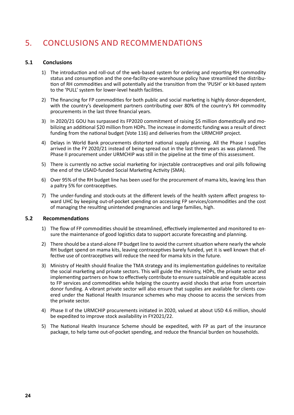# 5. Conclusions and Recommendations

#### **5.1 Conclusions**

- 1) The introduction and roll-out of the web-based system for ordering and reporting RH commodity status and consumption and the one-facility-one-warehouse policy have streamlined the distribution of RH commodities and will potentially aid the transition from the 'PUSH' or kit-based system to the 'PULL' system for lower-level health facilities.
- 2) The financing for FP commodities for both public and social marketing is highly donor-dependent, with the country's development partners contributing over 80% of the country's RH commodity procurements in the last three financial years.
- 3) In 2020/21 GOU has surpassed its FP2020 commitment of raising \$5 million domestically and mobilizing an additional \$20 million from HDPs. The increase in domestic funding was a result of direct funding from the national budget (Vote 116) and deliveries from the URMCHIP project.
- 4) Delays in World Bank procurements distorted national supply planning. All the Phase I supplies arrived in the FY 2020/21 instead of being spread out in the last three years as was planned. The Phase II procurement under URMCHIP was still in the pipeline at the time of this assessment.
- 5) There is currently no active social marketing for injectable contraceptives and oral pills following the end of the USAID-funded Social Marketing Activity (SMA).
- 6) Over 95% of the RH budget line has been used for the procurement of mama kits, leaving less than a paltry 5% for contraceptives.
- 7) The under-funding and stock-outs at the different levels of the health system affect progress toward UHC by keeping out-of-pocket spending on accessing FP services/commodities and the cost of managing the resulting unintended pregnancies and large families, high.

#### **5.2 Recommendations**

- 1) The flow of FP commodities should be streamlined, effectively implemented and monitored to ensure the maintenance of good logistics data to support accurate forecasting and planning.
- 2) There should be a stand-alone FP budget line to avoid the current situation where nearly the whole RH budget spend on mama kits, leaving contraceptives barely funded, yet it is well known that effective use of contraceptives will reduce the need for mama kits in the future.
- 3) Ministry of Health should finalize the TMA strategy and its implementation guidelines to revitalize the social marketing and private sectors. This will guide the ministry, HDPs, the private sector and implementing partners on how to effectively contribute to ensure sustainable and equitable access to FP services and commodities while helping the country avoid shocks that arise from uncertain donor funding. A vibrant private sector will also ensure that supplies are available for clients covered under the National Health Insurance schemes who may choose to access the services from the private sector.
- 4) Phase II of the URMCHIP procurements initiated in 2020, valued at about USD 4.6 million, should be expedited to improve stock availability in FY2021/22.
- 5) The National Health Insurance Scheme should be expedited, with FP as part of the insurance package, to help tame out-of-pocket spending, and reduce the financial burden on households.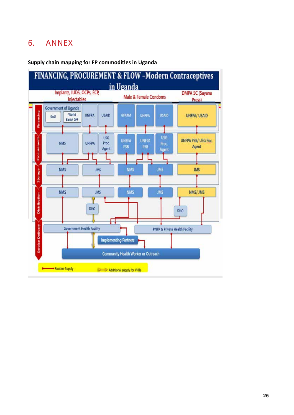# 6. Annex



### **Supply chain mapping for FP commodities in Uganda**